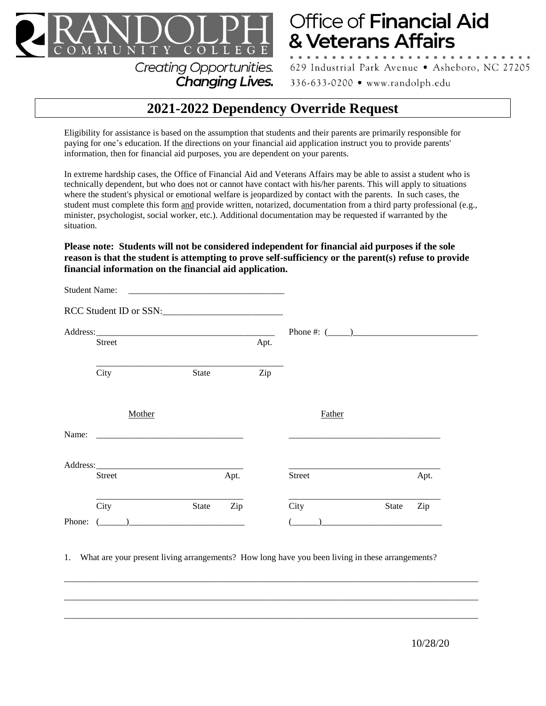

## Office of Financial Aid & Veterans Affairs

629 Industrial Park Avenue · Asheboro, NC 27205

336-633-0200 • www.randolph.edu

## **2021-2022 Dependency Override Request**

Eligibility for assistance is based on the assumption that students and their parents are primarily responsible for paying for one's education. If the directions on your financial aid application instruct you to provide parents' information, then for financial aid purposes, you are dependent on your parents.

Changing Lives.

In extreme hardship cases, the Office of Financial Aid and Veterans Affairs may be able to assist a student who is technically dependent, but who does not or cannot have contact with his/her parents. This will apply to situations where the student's physical or emotional welfare is jeopardized by contact with the parents. In such cases, the student must complete this form and provide written, notarized, documentation from a third party professional (e.g., minister, psychologist, social worker, etc.). Additional documentation may be requested if warranted by the situation.

**Please note: Students will not be considered independent for financial aid purposes if the sole reason is that the student is attempting to prove self-sufficiency or the parent(s) refuse to provide financial information on the financial aid application.**

| <b>Student Name:</b><br><u> 1980 - Johann Barn, mars ann an t-Alban ann an t-Alban ann an t-Alban ann an t-Alban ann an t-Alban ann an t-</u><br>RCC Student ID or SSN: |         |       |      |      |                   |       |      |
|-------------------------------------------------------------------------------------------------------------------------------------------------------------------------|---------|-------|------|------|-------------------|-------|------|
|                                                                                                                                                                         |         |       |      |      |                   |       |      |
|                                                                                                                                                                         |         |       |      |      | Phone #: $(\_\_)$ |       |      |
|                                                                                                                                                                         | Street  |       |      | Apt. |                   |       |      |
|                                                                                                                                                                         | City    | State |      | Zip  |                   |       |      |
|                                                                                                                                                                         | Mother  |       |      |      | Father            |       |      |
| Name:                                                                                                                                                                   |         |       |      |      |                   |       |      |
|                                                                                                                                                                         |         |       |      |      |                   |       |      |
|                                                                                                                                                                         | Street  |       | Apt. |      | <b>Street</b>     |       | Apt. |
|                                                                                                                                                                         | City    | State | Zip  |      | City              | State | Zip  |
| Phone:                                                                                                                                                                  | $($ $)$ |       |      |      |                   |       |      |

1. What are your present living arrangements? How long have you been living in these arrangements?

 $\_$  ,  $\_$  ,  $\_$  ,  $\_$  ,  $\_$  ,  $\_$  ,  $\_$  ,  $\_$  ,  $\_$  ,  $\_$  ,  $\_$  ,  $\_$  ,  $\_$  ,  $\_$  ,  $\_$  ,  $\_$  ,  $\_$  ,  $\_$  ,  $\_$  ,  $\_$  ,  $\_$  ,  $\_$  ,  $\_$  ,  $\_$  ,  $\_$  ,  $\_$  ,  $\_$  ,  $\_$  ,  $\_$  ,  $\_$  ,  $\_$  ,  $\_$  ,  $\_$  ,  $\_$  ,  $\_$  ,  $\_$  ,  $\_$  ,

 $\_$  ,  $\_$  ,  $\_$  ,  $\_$  ,  $\_$  ,  $\_$  ,  $\_$  ,  $\_$  ,  $\_$  ,  $\_$  ,  $\_$  ,  $\_$  ,  $\_$  ,  $\_$  ,  $\_$  ,  $\_$  ,  $\_$  ,  $\_$  ,  $\_$  ,  $\_$  ,  $\_$  ,  $\_$  ,  $\_$  ,  $\_$  ,  $\_$  ,  $\_$  ,  $\_$  ,  $\_$  ,  $\_$  ,  $\_$  ,  $\_$  ,  $\_$  ,  $\_$  ,  $\_$  ,  $\_$  ,  $\_$  ,  $\_$  ,

 $\_$  ,  $\_$  ,  $\_$  ,  $\_$  ,  $\_$  ,  $\_$  ,  $\_$  ,  $\_$  ,  $\_$  ,  $\_$  ,  $\_$  ,  $\_$  ,  $\_$  ,  $\_$  ,  $\_$  ,  $\_$  ,  $\_$  ,  $\_$  ,  $\_$  ,  $\_$  ,  $\_$  ,  $\_$  ,  $\_$  ,  $\_$  ,  $\_$  ,  $\_$  ,  $\_$  ,  $\_$  ,  $\_$  ,  $\_$  ,  $\_$  ,  $\_$  ,  $\_$  ,  $\_$  ,  $\_$  ,  $\_$  ,  $\_$  ,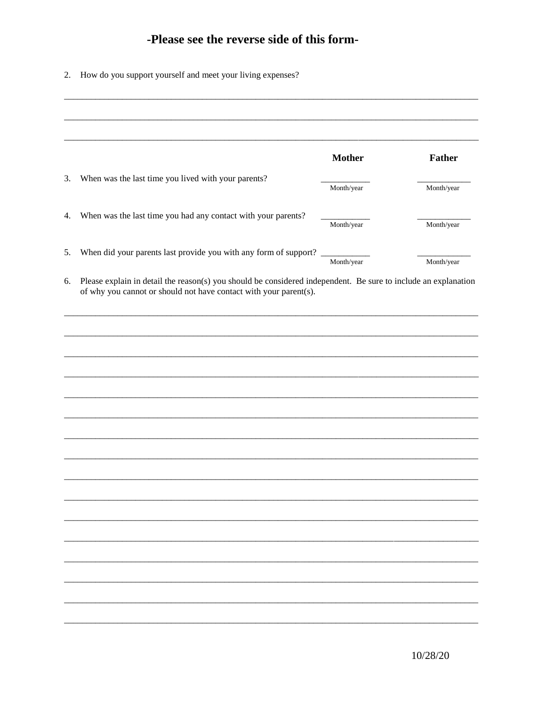## -Please see the reverse side of this form-

| 2. |  |  | How do you support yourself and meet your living expenses? |
|----|--|--|------------------------------------------------------------|
|    |  |  |                                                            |

| <b>Mother</b><br>When was the last time you lived with your parents?<br>Month/year<br>When was the last time you had any contact with your parents?<br>Month/year<br>When did your parents last provide you with any form of support? __________<br>Month/year<br>Please explain in detail the reason(s) you should be considered independent. Be sure to include an explanation<br>of why you cannot or should not have contact with your parent(s). |               |
|-------------------------------------------------------------------------------------------------------------------------------------------------------------------------------------------------------------------------------------------------------------------------------------------------------------------------------------------------------------------------------------------------------------------------------------------------------|---------------|
|                                                                                                                                                                                                                                                                                                                                                                                                                                                       |               |
|                                                                                                                                                                                                                                                                                                                                                                                                                                                       | <b>Father</b> |
|                                                                                                                                                                                                                                                                                                                                                                                                                                                       |               |
|                                                                                                                                                                                                                                                                                                                                                                                                                                                       | Month/year    |
|                                                                                                                                                                                                                                                                                                                                                                                                                                                       |               |
|                                                                                                                                                                                                                                                                                                                                                                                                                                                       | Month/year    |
|                                                                                                                                                                                                                                                                                                                                                                                                                                                       |               |
|                                                                                                                                                                                                                                                                                                                                                                                                                                                       | Month/year    |
|                                                                                                                                                                                                                                                                                                                                                                                                                                                       |               |
|                                                                                                                                                                                                                                                                                                                                                                                                                                                       |               |
|                                                                                                                                                                                                                                                                                                                                                                                                                                                       |               |
|                                                                                                                                                                                                                                                                                                                                                                                                                                                       |               |
|                                                                                                                                                                                                                                                                                                                                                                                                                                                       |               |
|                                                                                                                                                                                                                                                                                                                                                                                                                                                       |               |
|                                                                                                                                                                                                                                                                                                                                                                                                                                                       |               |
|                                                                                                                                                                                                                                                                                                                                                                                                                                                       |               |
|                                                                                                                                                                                                                                                                                                                                                                                                                                                       |               |
|                                                                                                                                                                                                                                                                                                                                                                                                                                                       |               |
|                                                                                                                                                                                                                                                                                                                                                                                                                                                       |               |
|                                                                                                                                                                                                                                                                                                                                                                                                                                                       |               |
|                                                                                                                                                                                                                                                                                                                                                                                                                                                       |               |
|                                                                                                                                                                                                                                                                                                                                                                                                                                                       |               |
|                                                                                                                                                                                                                                                                                                                                                                                                                                                       |               |
|                                                                                                                                                                                                                                                                                                                                                                                                                                                       |               |
|                                                                                                                                                                                                                                                                                                                                                                                                                                                       |               |
|                                                                                                                                                                                                                                                                                                                                                                                                                                                       |               |
|                                                                                                                                                                                                                                                                                                                                                                                                                                                       |               |
|                                                                                                                                                                                                                                                                                                                                                                                                                                                       |               |
|                                                                                                                                                                                                                                                                                                                                                                                                                                                       |               |
|                                                                                                                                                                                                                                                                                                                                                                                                                                                       |               |
|                                                                                                                                                                                                                                                                                                                                                                                                                                                       |               |
|                                                                                                                                                                                                                                                                                                                                                                                                                                                       |               |